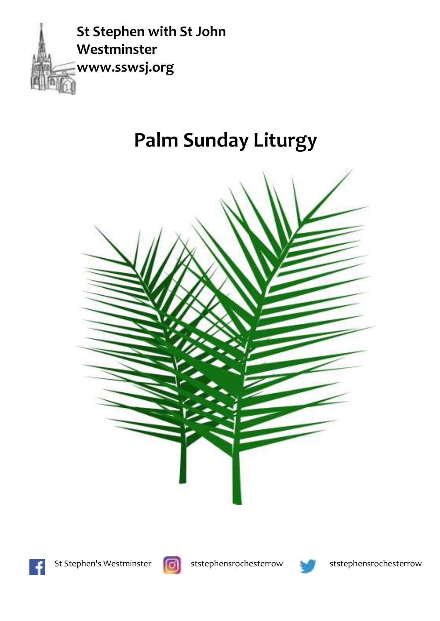

# **Palm Sunday Liturgy**





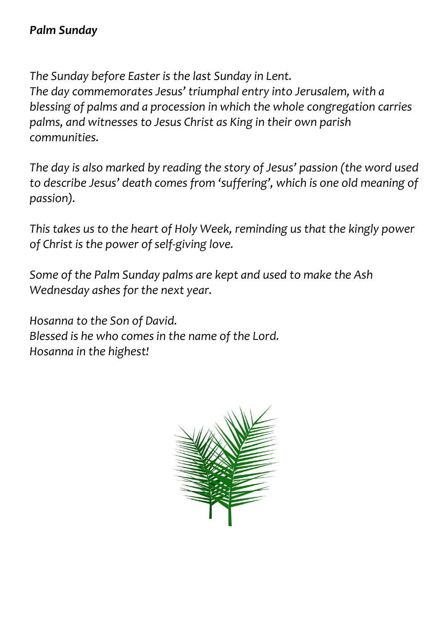*The Sunday before Easter is the last Sunday in Lent. The day commemorates Jesus' triumphal entry into Jerusalem, with a blessing of palms and a procession in which the whole congregation carries palms, and witnesses to Jesus Christ as King in their own parish communities.*

*The day is also marked by reading the story of Jesus' passion (the word used to describe Jesus' death comes from 'suffering', which is one old meaning of passion).* 

*This takes us to the heart of Holy Week, reminding us that the kingly power of Christ is the power of self-giving love.*

*Some of the Palm Sunday palms are kept and used to make the Ash Wednesday ashes for the next year.*

*Hosanna to the Son of David. Blessed is he who comesin the name of the Lord. Hosanna in the highest!*

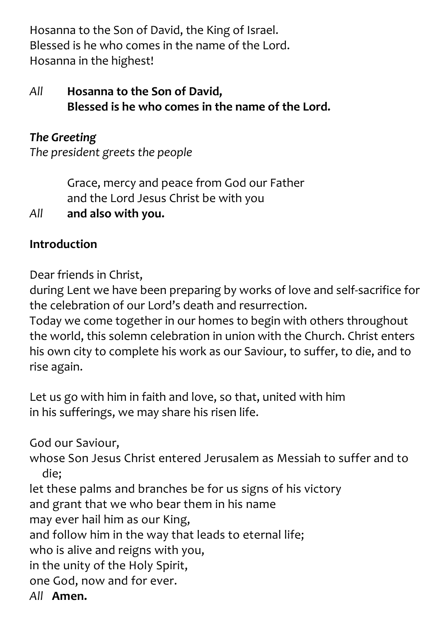Hosanna to the Son of David, the King of Israel. Blessed is he who comes in the name of the Lord. Hosanna in the highest!

#### *All* **Hosanna to the Son of David, Blessed is he who comes in the name of the Lord.**

#### *The Greeting*

*The president greets the people*

Grace, mercy and peace from God our Father and the Lord Jesus Christ be with you

*All* **and also with you.**

## **Introduction**

Dear friends in Christ,

during Lent we have been preparing by works of love and self-sacrifice for the celebration of our Lord's death and resurrection.

Today we come together in our homes to begin with others throughout the world, this solemn celebration in union with the Church. Christ enters his own city to complete his work as our Saviour, to suffer, to die, and to rise again.

Let us go with him in faith and love, so that, united with him in his sufferings, we may share his risen life.

God our Saviour, whose Son Jesus Christ entered Jerusalem as Messiah to suffer and to die; let these palms and branches be for us signs of his victory and grant that we who bear them in his name may ever hail him as our King, and follow him in the way that leads to eternal life; who is alive and reigns with you, in the unity of the Holy Spirit, one God, now and for ever. *All* **Amen.**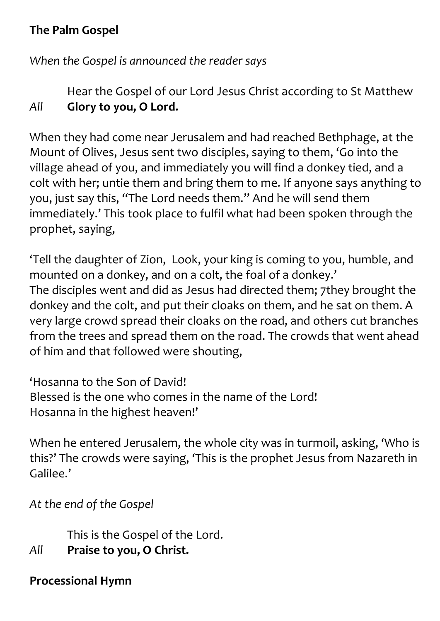#### **The Palm Gospel**

*When the Gospel is announced the reader says*

Hear the Gospel of our Lord Jesus Christ according to St Matthew *All* **Glory to you, O Lord.**

When they had come near Jerusalem and had reached Bethphage, at the Mount of Olives, Jesus sent two disciples, saying to them, 'Go into the village ahead of you, and immediately you will find a donkey tied, and a colt with her; untie them and bring them to me. If anyone says anything to you, just say this, "The Lord needs them." And he will send them immediately.' This took place to fulfil what had been spoken through the prophet, saying,

'Tell the daughter of Zion, Look, your king is coming to you, humble, and mounted on a donkey, and on a colt, the foal of a donkey.' The disciples went and did as Jesus had directed them; 7they brought the donkey and the colt, and put their cloaks on them, and he sat on them. A very large crowd spread their cloaks on the road, and others cut branches from the trees and spread them on the road. The crowds that went ahead of him and that followed were shouting,

'Hosanna to the Son of David! Blessed is the one who comes in the name of the Lord! Hosanna in the highest heaven!'

When he entered Jerusalem, the whole city was in turmoil, asking, 'Who is this?' The crowds were saying, 'This is the prophet Jesus from Nazareth in Galilee.'

*At the end of the Gospel*

This is the Gospel of the Lord. *All* **Praise to you, O Christ.**

**Processional Hymn**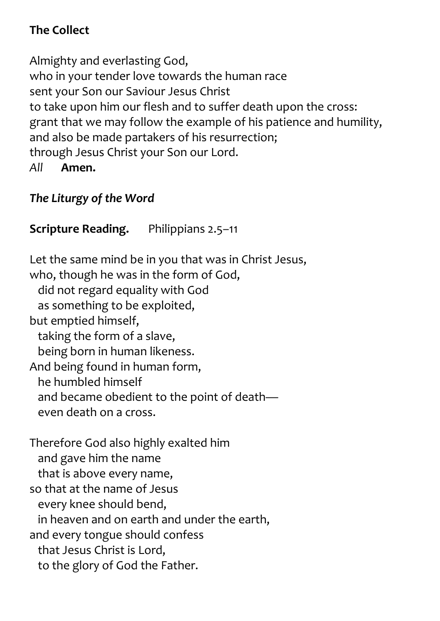#### **The Collect**

Almighty and everlasting God, who in your tender love towards the human race sent your Son our Saviour Jesus Christ to take upon him our flesh and to suffer death upon the cross: grant that we may follow the example of his patience and humility, and also be made partakers of his resurrection; through Jesus Christ your Son our Lord. *All* **Amen.**

## *The Liturgy of the Word*

# **Scripture Reading.** Philippians 2.5–11

Let the same mind be in you that was in Christ Jesus, who, though he was in the form of God, did not regard equality with God as something to be exploited, but emptied himself, taking the form of a slave, being born in human likeness. And being found in human form, he humbled himself and became obedient to the point of death even death on a cross. Therefore God also highly exalted him and gave him the name that is above every name, so that at the name of Jesus every knee should bend, in heaven and on earth and under the earth, and every tongue should confess that Jesus Christ is Lord, to the glory of God the Father.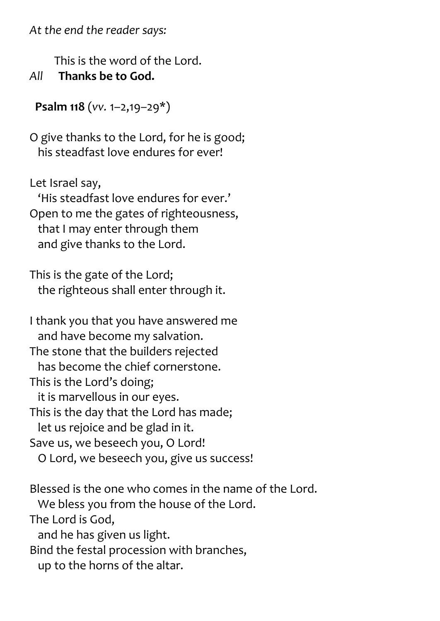*At the end the reader says:*

 This is the word of the Lord. *All* **Thanks be to God.**

 **Psalm 118** (*vv.* 1–2,19–29\*)

O give thanks to the Lord, for he is good; his steadfast love endures for ever!

Let Israel say,

 'His steadfast love endures for ever.' Open to me the gates of righteousness, that I may enter through them and give thanks to the Lord.

This is the gate of the Lord; the righteous shall enter through it.

I thank you that you have answered me and have become my salvation. The stone that the builders rejected has become the chief cornerstone. This is the Lord's doing; it is marvellous in our eyes. This is the day that the Lord has made; let us rejoice and be glad in it. Save us, we beseech you, O Lord! O Lord, we beseech you, give us success!

Blessed is the one who comes in the name of the Lord. We bless you from the house of the Lord. The Lord is God, and he has given us light. Bind the festal procession with branches, up to the horns of the altar.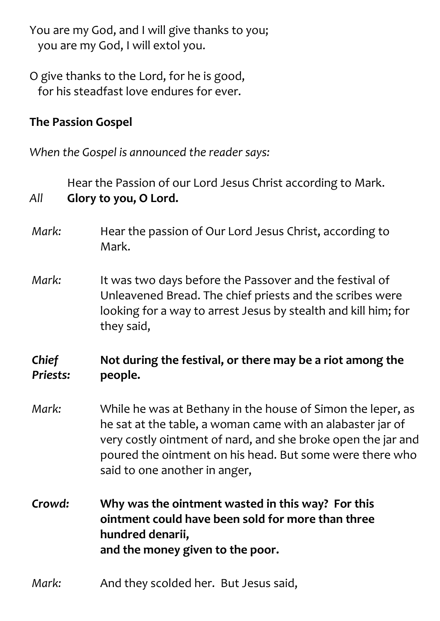You are my God, and I will give thanks to you; you are my God, I will extol you.

O give thanks to the Lord, for he is good, for his steadfast love endures for ever.

#### **The Passion Gospel**

*When the Gospel is announced the reader says:*

Hear the Passion of our Lord Jesus Christ according to Mark. *All* **Glory to you, O Lord.** *Mark:* Hear the passion of Our Lord Jesus Christ, according to Mark. *Mark:* It was two days before the Passover and the festival of Unleavened Bread. The chief priests and the scribes were looking for a way to arrest Jesus by stealth and kill him; for they said, *Chief Priests:* **Not during the festival, or there may be a riot among the people.** *Mark:* While he was at Bethany in the house of Simon the leper, as he sat at the table, a woman came with an alabaster jar of very costly ointment of nard, and she broke open the jar and poured the ointment on his head. But some were there who said to one another in anger, *Crowd:* **Why was the ointment wasted in this way? For this ointment could have been sold for more than three hundred denarii, and the money given to the poor.** *Mark:* And they scolded her. But Jesus said,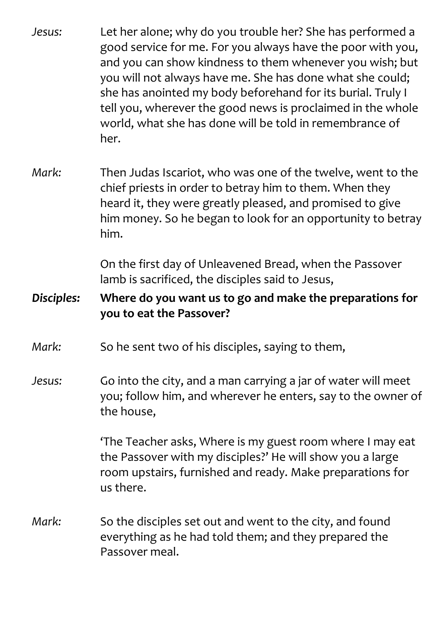| Jesus:     | Let her alone; why do you trouble her? She has performed a<br>good service for me. For you always have the poor with you,<br>and you can show kindness to them whenever you wish; but<br>you will not always have me. She has done what she could;<br>she has anointed my body beforehand for its burial. Truly I<br>tell you, wherever the good news is proclaimed in the whole<br>world, what she has done will be told in remembrance of<br>her. |
|------------|-----------------------------------------------------------------------------------------------------------------------------------------------------------------------------------------------------------------------------------------------------------------------------------------------------------------------------------------------------------------------------------------------------------------------------------------------------|
| Mark:      | Then Judas Iscariot, who was one of the twelve, went to the<br>chief priests in order to betray him to them. When they<br>heard it, they were greatly pleased, and promised to give<br>him money. So he began to look for an opportunity to betray<br>him.                                                                                                                                                                                          |
|            | On the first day of Unleavened Bread, when the Passover<br>lamb is sacrificed, the disciples said to Jesus,                                                                                                                                                                                                                                                                                                                                         |
| Disciples: | Where do you want us to go and make the preparations for<br>you to eat the Passover?                                                                                                                                                                                                                                                                                                                                                                |
|            |                                                                                                                                                                                                                                                                                                                                                                                                                                                     |
| Mark:      | So he sent two of his disciples, saying to them,                                                                                                                                                                                                                                                                                                                                                                                                    |
| Jesus:     | Go into the city, and a man carrying a jar of water will meet<br>you; follow him, and wherever he enters, say to the owner of<br>the house,                                                                                                                                                                                                                                                                                                         |
|            | 'The Teacher asks, Where is my guest room where I may eat<br>the Passover with my disciples?' He will show you a large<br>room upstairs, furnished and ready. Make preparations for<br>us there.                                                                                                                                                                                                                                                    |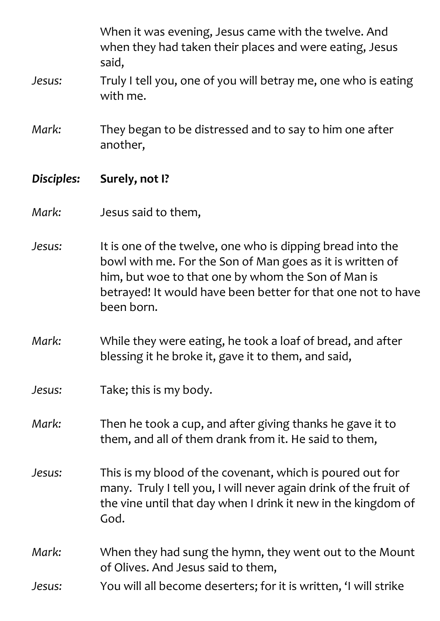|            | When it was evening, Jesus came with the twelve. And<br>when they had taken their places and were eating, Jesus<br>said,                                                                                                                                    |
|------------|-------------------------------------------------------------------------------------------------------------------------------------------------------------------------------------------------------------------------------------------------------------|
| Jesus:     | Truly I tell you, one of you will betray me, one who is eating<br>with me.                                                                                                                                                                                  |
| Mark:      | They began to be distressed and to say to him one after<br>another,                                                                                                                                                                                         |
| Disciples: | Surely, not I?                                                                                                                                                                                                                                              |
| Mark:      | Jesus said to them,                                                                                                                                                                                                                                         |
| Jesus:     | It is one of the twelve, one who is dipping bread into the<br>bowl with me. For the Son of Man goes as it is written of<br>him, but woe to that one by whom the Son of Man is<br>betrayed! It would have been better for that one not to have<br>been born. |
| Mark:      | While they were eating, he took a loaf of bread, and after<br>blessing it he broke it, gave it to them, and said,                                                                                                                                           |
| Jesus:     | Take; this is my body.                                                                                                                                                                                                                                      |
| Mark:      | Then he took a cup, and after giving thanks he gave it to<br>them, and all of them drank from it. He said to them,                                                                                                                                          |
| Jesus:     | This is my blood of the covenant, which is poured out for<br>many. Truly I tell you, I will never again drink of the fruit of<br>the vine until that day when I drink it new in the kingdom of<br>God.                                                      |
| Mark:      | When they had sung the hymn, they went out to the Mount<br>of Olives. And Jesus said to them,                                                                                                                                                               |
| Jesus:     | You will all become deserters; for it is written, 'I will strike                                                                                                                                                                                            |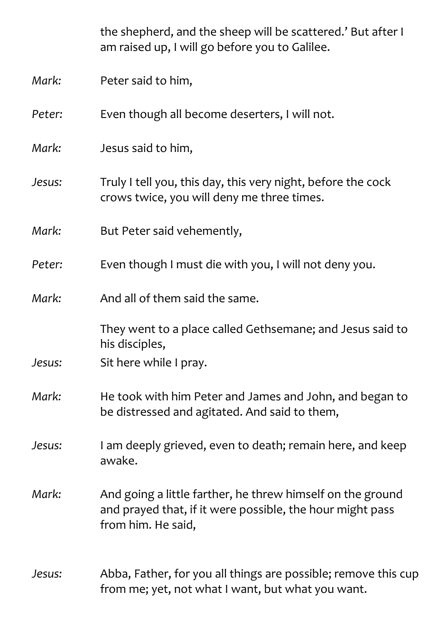|        | the shepherd, and the sheep will be scattered.' But after I<br>am raised up, I will go before you to Galilee.                                 |
|--------|-----------------------------------------------------------------------------------------------------------------------------------------------|
| Mark:  | Peter said to him,                                                                                                                            |
| Peter: | Even though all become deserters, I will not.                                                                                                 |
| Mark:  | Jesus said to him,                                                                                                                            |
| Jesus: | Truly I tell you, this day, this very night, before the cock<br>crows twice, you will deny me three times.                                    |
| Mark:  | But Peter said vehemently,                                                                                                                    |
| Peter: | Even though I must die with you, I will not deny you.                                                                                         |
| Mark:  | And all of them said the same.                                                                                                                |
|        | They went to a place called Gethsemane; and Jesus said to<br>his disciples,                                                                   |
| Jesus: | Sit here while I pray.                                                                                                                        |
| Mark:  | He took with him Peter and James and John, and began to<br>be distressed and agitated. And said to them,                                      |
| Jesus: | I am deeply grieved, even to death; remain here, and keep<br>awake.                                                                           |
| Mark:  | And going a little farther, he threw himself on the ground<br>and prayed that, if it were possible, the hour might pass<br>from him. He said, |
| Jesus: | Abba, Father, for you all things are possible; remove this cup<br>from me; yet, not what I want, but what you want.                           |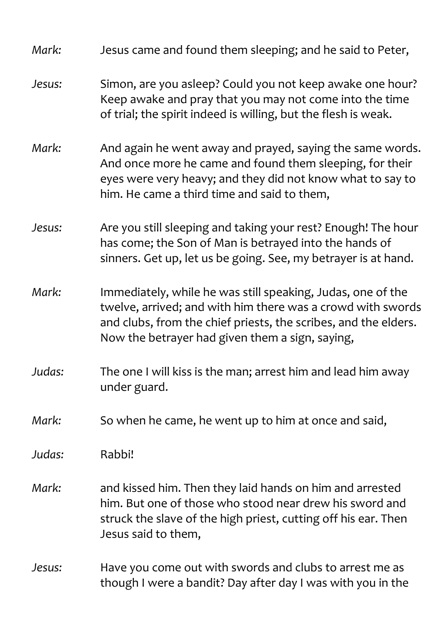| Mark:  | Jesus came and found them sleeping; and he said to Peter,                                                                                                                                                                                        |
|--------|--------------------------------------------------------------------------------------------------------------------------------------------------------------------------------------------------------------------------------------------------|
| Jesus: | Simon, are you asleep? Could you not keep awake one hour?<br>Keep awake and pray that you may not come into the time<br>of trial; the spirit indeed is willing, but the flesh is weak.                                                           |
| Mark:  | And again he went away and prayed, saying the same words.<br>And once more he came and found them sleeping, for their<br>eyes were very heavy; and they did not know what to say to<br>him. He came a third time and said to them,               |
| Jesus: | Are you still sleeping and taking your rest? Enough! The hour<br>has come; the Son of Man is betrayed into the hands of<br>sinners. Get up, let us be going. See, my betrayer is at hand.                                                        |
| Mark:  | Immediately, while he was still speaking, Judas, one of the<br>twelve, arrived; and with him there was a crowd with swords<br>and clubs, from the chief priests, the scribes, and the elders.<br>Now the betrayer had given them a sign, saying, |
| Judas: | The one I will kiss is the man; arrest him and lead him away<br>under guard.                                                                                                                                                                     |
| Mark:  | So when he came, he went up to him at once and said,                                                                                                                                                                                             |
| Judas: | Rabbi!                                                                                                                                                                                                                                           |
| Mark:  | and kissed him. Then they laid hands on him and arrested<br>him. But one of those who stood near drew his sword and<br>struck the slave of the high priest, cutting off his ear. Then<br>Jesus said to them,                                     |
| Jesus: | Have you come out with swords and clubs to arrest me as<br>though I were a bandit? Day after day I was with you in the                                                                                                                           |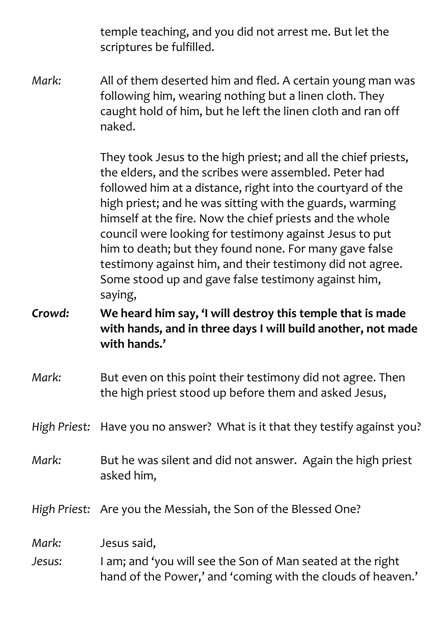temple teaching, and you did not arrest me. But let the scriptures be fulfilled.

*Mark:* All of them deserted him and fled. A certain young man was following him, wearing nothing but a linen cloth. They caught hold of him, but he left the linen cloth and ran off naked.

> They took Jesus to the high priest; and all the chief priests, the elders, and the scribes were assembled. Peter had followed him at a distance, right into the courtyard of the high priest; and he was sitting with the guards, warming himself at the fire. Now the chief priests and the whole council were looking for testimony against Jesus to put him to death; but they found none. For many gave false testimony against him, and their testimony did not agree. Some stood up and gave false testimony against him, saying,

*Crowd:* **We heard him say, 'I will destroy this temple that is made with hands, and in three days I will build another, not made with hands.'**

- *Mark:* But even on this point their testimony did not agree. Then the high priest stood up before them and asked Jesus,
- *High Priest:* Have you no answer? What is it that they testify against you?
- *Mark:* But he was silent and did not answer. Again the high priest asked him,

*High Priest:* Are you the Messiah, the Son of the Blessed One?

*Mark:* Jesus said,

*Jesus:* I am; and 'you will see the Son of Man seated at the right hand of the Power,' and 'coming with the clouds of heaven.'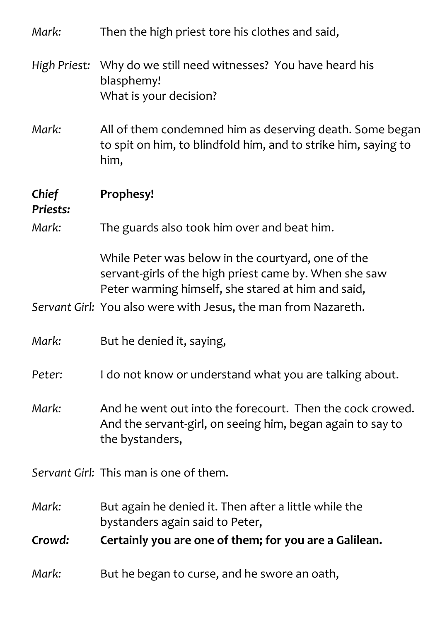| Mark:             | Then the high priest tore his clothes and said,                                                                                                                    |
|-------------------|--------------------------------------------------------------------------------------------------------------------------------------------------------------------|
| High Priest:      | Why do we still need witnesses? You have heard his<br>blasphemy!<br>What is your decision?                                                                         |
| Mark:             | All of them condemned him as deserving death. Some began<br>to spit on him, to blindfold him, and to strike him, saying to<br>him,                                 |
| Chief<br>Priests: | Prophesy!                                                                                                                                                          |
| Mark:             | The guards also took him over and beat him.                                                                                                                        |
|                   | While Peter was below in the courtyard, one of the<br>servant-girls of the high priest came by. When she saw<br>Peter warming himself, she stared at him and said, |
|                   | Servant Girl: You also were with Jesus, the man from Nazareth.                                                                                                     |
| Mark:             | But he denied it, saying,                                                                                                                                          |
| Peter:            | I do not know or understand what you are talking about.                                                                                                            |
| Mark:             | And he went out into the forecourt. Then the cock crowed.<br>And the servant-girl, on seeing him, began again to say to<br>the bystanders,                         |
|                   | Servant Girl: This man is one of them.                                                                                                                             |
| Mark:             | But again he denied it. Then after a little while the<br>bystanders again said to Peter,                                                                           |
| Crowd:            | Certainly you are one of them; for you are a Galilean.                                                                                                             |
| Mark:             | But he began to curse, and he swore an oath,                                                                                                                       |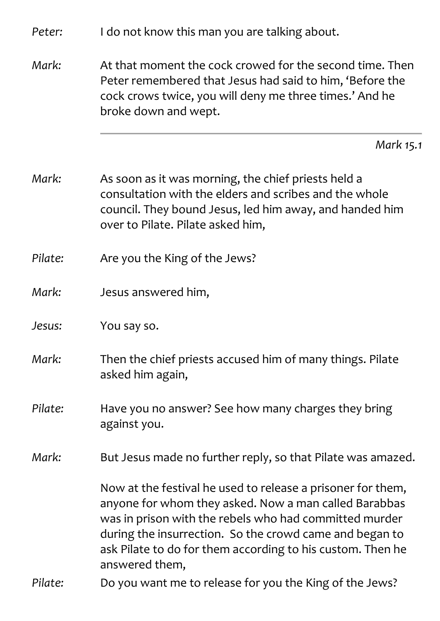| Peter:  | I do not know this man you are talking about.                                                                                                                                                                                                                                                                             |
|---------|---------------------------------------------------------------------------------------------------------------------------------------------------------------------------------------------------------------------------------------------------------------------------------------------------------------------------|
| Mark:   | At that moment the cock crowed for the second time. Then<br>Peter remembered that Jesus had said to him, 'Before the<br>cock crows twice, you will deny me three times.' And he<br>broke down and wept.                                                                                                                   |
|         | Mark 15.1                                                                                                                                                                                                                                                                                                                 |
| Mark:   | As soon as it was morning, the chief priests held a<br>consultation with the elders and scribes and the whole<br>council. They bound Jesus, led him away, and handed him<br>over to Pilate. Pilate asked him,                                                                                                             |
| Pilate: | Are you the King of the Jews?                                                                                                                                                                                                                                                                                             |
| Mark:   | Jesus answered him,                                                                                                                                                                                                                                                                                                       |
| Jesus:  | You say so.                                                                                                                                                                                                                                                                                                               |
| Mark:   | Then the chief priests accused him of many things. Pilate<br>asked him again,                                                                                                                                                                                                                                             |
| Pilate: | Have you no answer? See how many charges they bring<br>against you.                                                                                                                                                                                                                                                       |
| Mark:   | But Jesus made no further reply, so that Pilate was amazed.                                                                                                                                                                                                                                                               |
|         | Now at the festival he used to release a prisoner for them,<br>anyone for whom they asked. Now a man called Barabbas<br>was in prison with the rebels who had committed murder<br>during the insurrection. So the crowd came and began to<br>ask Pilate to do for them according to his custom. Then he<br>answered them, |
| Pilate: | Do you want me to release for you the King of the Jews?                                                                                                                                                                                                                                                                   |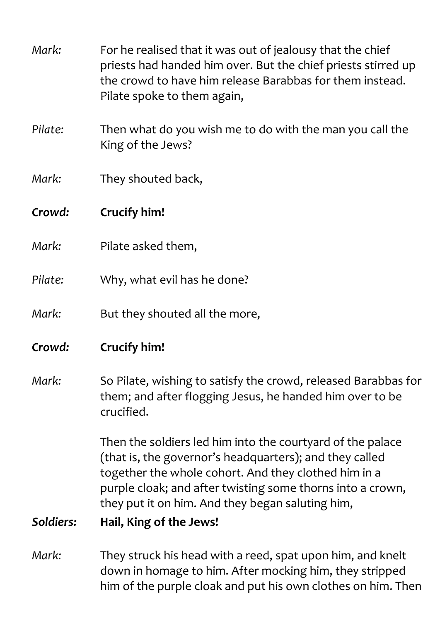| Mark:     | For he realised that it was out of jealousy that the chief<br>priests had handed him over. But the chief priests stirred up<br>the crowd to have him release Barabbas for them instead.<br>Pilate spoke to them again,                                                                          |
|-----------|-------------------------------------------------------------------------------------------------------------------------------------------------------------------------------------------------------------------------------------------------------------------------------------------------|
| Pilate:   | Then what do you wish me to do with the man you call the<br>King of the Jews?                                                                                                                                                                                                                   |
| Mark:     | They shouted back,                                                                                                                                                                                                                                                                              |
| Crowd:    | Crucify him!                                                                                                                                                                                                                                                                                    |
| Mark:     | Pilate asked them,                                                                                                                                                                                                                                                                              |
| Pilate:   | Why, what evil has he done?                                                                                                                                                                                                                                                                     |
| Mark:     | But they shouted all the more,                                                                                                                                                                                                                                                                  |
| Crowd:    | Crucify him!                                                                                                                                                                                                                                                                                    |
| Mark:     | So Pilate, wishing to satisfy the crowd, released Barabbas for<br>them; and after flogging Jesus, he handed him over to be<br>crucified.                                                                                                                                                        |
|           | Then the soldiers led him into the courtyard of the palace<br>(that is, the governor's headquarters); and they called<br>together the whole cohort. And they clothed him in a<br>purple cloak; and after twisting some thorns into a crown,<br>they put it on him. And they began saluting him, |
| Soldiers: | Hail, King of the Jews!                                                                                                                                                                                                                                                                         |
| Mark:     | They struck his head with a reed, spat upon him, and knelt<br>down in homage to him. After mocking him, they stripped<br>him of the purple cloak and put his own clothes on him. Then                                                                                                           |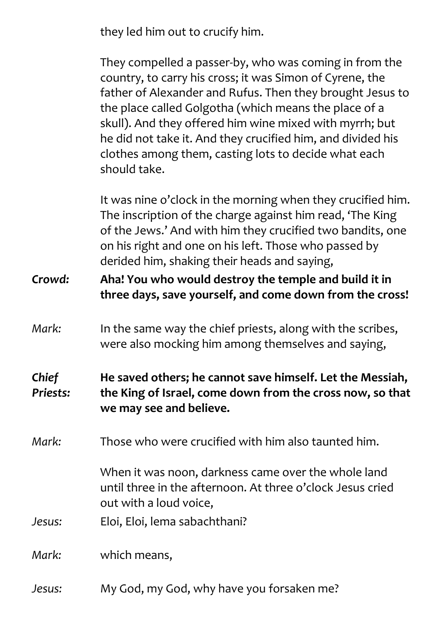they led him out to crucify him.

They compelled a passer-by, who was coming in from the country, to carry his cross; it was Simon of Cyrene, the father of Alexander and Rufus. Then they brought Jesus to the place called Golgotha (which means the place of a skull). And they offered him wine mixed with myrrh; but he did not take it. And they crucified him, and divided his clothes among them, casting lots to decide what each should take.

It was nine o'clock in the morning when they crucified him. The inscription of the charge against him read, 'The King of the Jews.' And with him they crucified two bandits, one on his right and one on his left. Those who passed by derided him, shaking their heads and saying,

*Crowd:* **Aha! You who would destroy the temple and build it in three days, save yourself, and come down from the cross!**

*Mark:* In the same way the chief priests, along with the scribes, were also mocking him among themselves and saying,

#### *Chief Priests:* **He saved others; he cannot save himself. Let the Messiah, the King of Israel, come down from the cross now, so that we may see and believe.**

*Mark:* Those who were crucified with him also taunted him.

When it was noon, darkness came over the whole land until three in the afternoon. At three o'clock Jesus cried out with a loud voice,

*Jesus:* Eloi, Eloi, lema sabachthani?

*Mark:* which means,

*Jesus:* My God, my God, why have you forsaken me?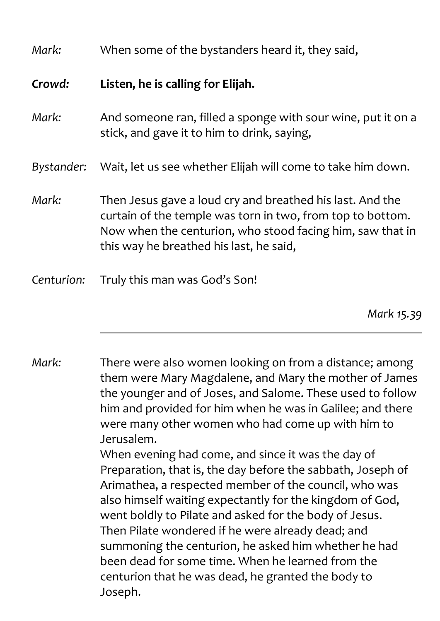| Mark:      | When some of the bystanders heard it, they said,                                                                                                                                                                                |
|------------|---------------------------------------------------------------------------------------------------------------------------------------------------------------------------------------------------------------------------------|
| Crowd:     | Listen, he is calling for Elijah.                                                                                                                                                                                               |
| Mark:      | And someone ran, filled a sponge with sour wine, put it on a<br>stick, and gave it to him to drink, saying,                                                                                                                     |
| Bystander: | Wait, let us see whether Elijah will come to take him down.                                                                                                                                                                     |
| Mark:      | Then Jesus gave a loud cry and breathed his last. And the<br>curtain of the temple was torn in two, from top to bottom.<br>Now when the centurion, who stood facing him, saw that in<br>this way he breathed his last, he said, |
| Centurion: | Truly this man was God's Son!                                                                                                                                                                                                   |

*Mark 15.39*

*Mark:* There were also women looking on from a distance; among them were Mary Magdalene, and Mary the mother of James the younger and of Joses, and Salome. These used to follow him and provided for him when he was in Galilee; and there were many other women who had come up with him to Jerusalem. When evening had come, and since it was the day of Preparation, that is, the day before the sabbath, Joseph of Arimathea, a respected member of the council, who was also himself waiting expectantly for the kingdom of God, went boldly to Pilate and asked for the body of Jesus. Then Pilate wondered if he were already dead; and summoning the centurion, he asked him whether he had been dead for some time. When he learned from the centurion that he was dead, he granted the body to Joseph.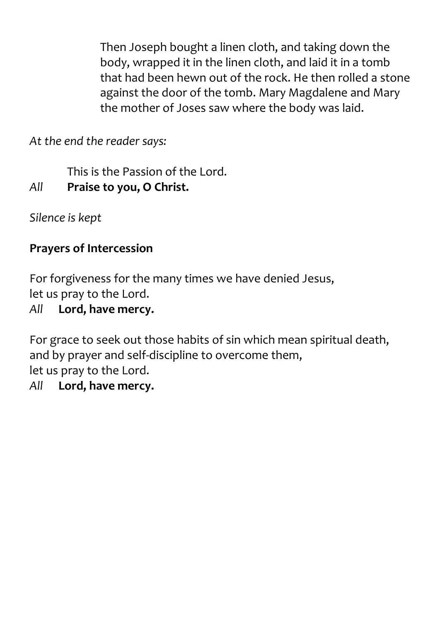Then Joseph bought a linen cloth, and taking down the body, wrapped it in the linen cloth, and laid it in a tomb that had been hewn out of the rock. He then rolled a stone against the door of the tomb. Mary Magdalene and Mary the mother of Joses saw where the body was laid.

*At the end the reader says:*

This is the Passion of the Lord. *All* **Praise to you, O Christ.**

*Silence is kept*

## **Prayers of Intercession**

For forgiveness for the many times we have denied Jesus, let us pray to the Lord.

# *All* **Lord, have mercy.**

For grace to seek out those habits of sin which mean spiritual death, and by prayer and self-discipline to overcome them, let us pray to the Lord.

#### *All* **Lord, have mercy.**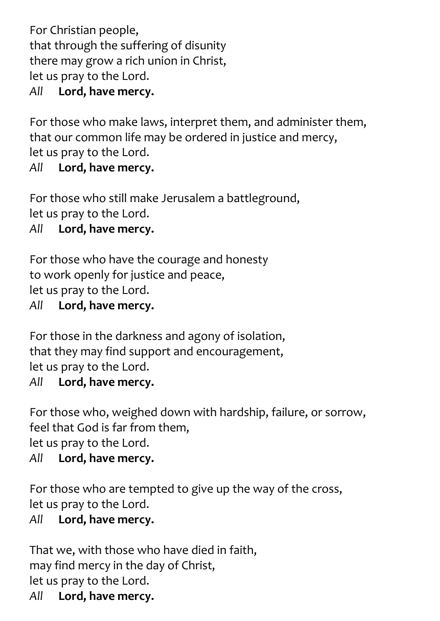For Christian people, that through the suffering of disunity there may grow a rich union in Christ, let us pray to the Lord.

#### *All* **Lord, have mercy.**

For those who make laws, interpret them, and administer them, that our common life may be ordered in justice and mercy, let us pray to the Lord.

*All* **Lord, have mercy.**

For those who still make Jerusalem a battleground, let us pray to the Lord.

*All* **Lord, have mercy.**

For those who have the courage and honesty to work openly for justice and peace, let us pray to the Lord.

*All* **Lord, have mercy.**

For those in the darkness and agony of isolation, that they may find support and encouragement, let us pray to the Lord. *All* **Lord, have mercy.**

For those who, weighed down with hardship, failure, or sorrow,

feel that God is far from them,

let us pray to the Lord.

*All* **Lord, have mercy.**

For those who are tempted to give up the way of the cross, let us pray to the Lord.

*All* **Lord, have mercy.**

That we, with those who have died in faith, may find mercy in the day of Christ, let us pray to the Lord. *All* **Lord, have mercy.**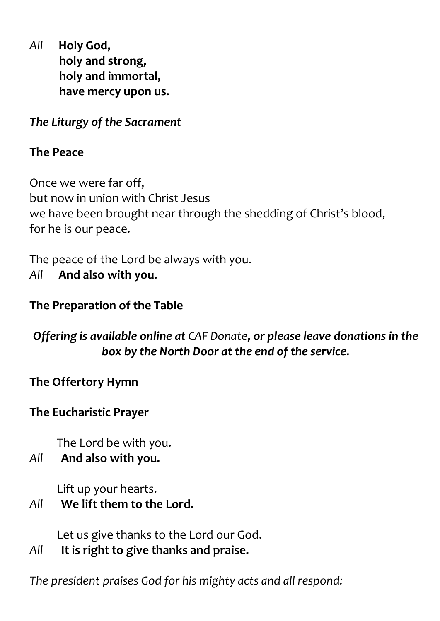*All* **Holy God, holy and strong, holy and immortal, have mercy upon us.**

*The Liturgy of the Sacrament*

#### **The Peace**

Once we were far off, but now in union with Christ Jesus we have been brought near through the shedding of Christ's blood, for he is our peace.

The peace of the Lord be always with you. *All* **And also with you.**

#### **The Preparation of the Table**

*Offering is available online at CAF [Donate](https://cafdonate.cafonline.org/13005%2523!/DonationDetails), or please leave donations in the box by the North Door at the end of the service.*

**The Offertory Hymn**

#### **The Eucharistic Prayer**

The Lord be with you.

#### *All* **And also with you.**

Lift up your hearts.

#### *All* **We lift them to the Lord.**

Let us give thanks to the Lord our God.

*All* **It is right to give thanks and praise.**

*The president praises God for his mighty acts and all respond:*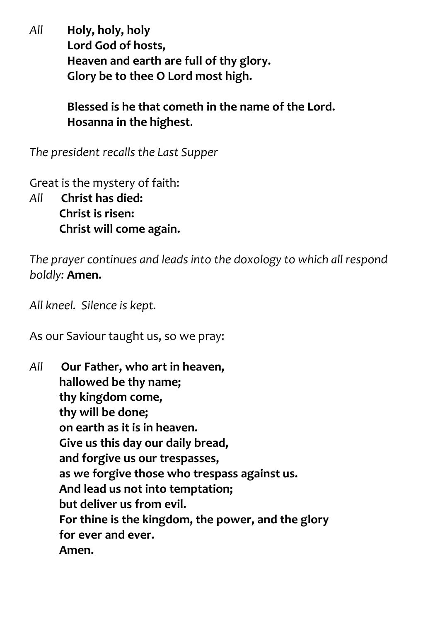*All* **Holy, holy, holy Lord God of hosts, Heaven and earth are full of thy glory. Glory be to thee O Lord most high.**

> **Blessed is he that cometh in the name of the Lord. Hosanna in the highest**.

*The president recalls the Last Supper*

Great is the mystery of faith:

*All* **Christ has died: Christ is risen: Christ will come again.**

*The prayer continues and leads into the doxology to which all respond boldly:* **Amen.**

*All kneel. Silence is kept.*

As our Saviour taught us, so we pray:

*All* **Our Father, who art in heaven, hallowed be thy name; thy kingdom come, thy will be done; on earth as it is in heaven. Give us this day our daily bread, and forgive us our trespasses, as we forgive those who trespass against us. And lead us not into temptation; but deliver us from evil. For thine is the kingdom, the power, and the glory for ever and ever. Amen.**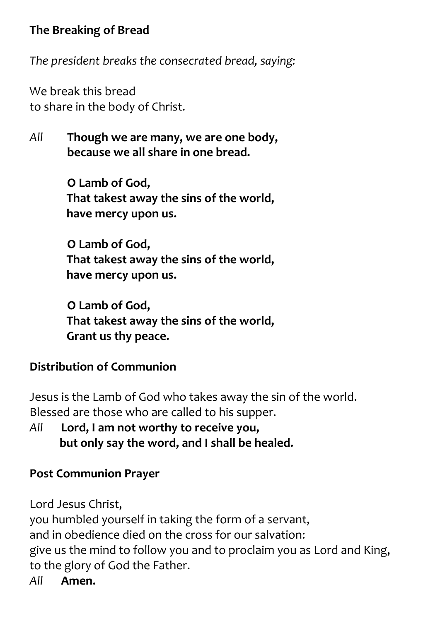#### **The Breaking of Bread**

*The president breaks the consecrated bread, saying:*

We break this bread to share in the body of Christ.

*All* **Though we are many, we are one body, because we all share in one bread.**

> **O Lamb of God, That takest away the sins of the world, have mercy upon us.**

> **O Lamb of God, That takest away the sins of the world, have mercy upon us.**

> **O Lamb of God, That takest away the sins of the world, Grant us thy peace.**

#### **Distribution of Communion**

Jesus is the Lamb of God who takes away the sin of the world. Blessed are those who are called to his supper.

*All* **Lord, I am not worthy to receive you, but only say the word, and I shall be healed.**

#### **Post Communion Prayer**

Lord Jesus Christ,

you humbled yourself in taking the form of a servant, and in obedience died on the cross for our salvation: give us the mind to follow you and to proclaim you as Lord and King, to the glory of God the Father.

*All* **Amen.**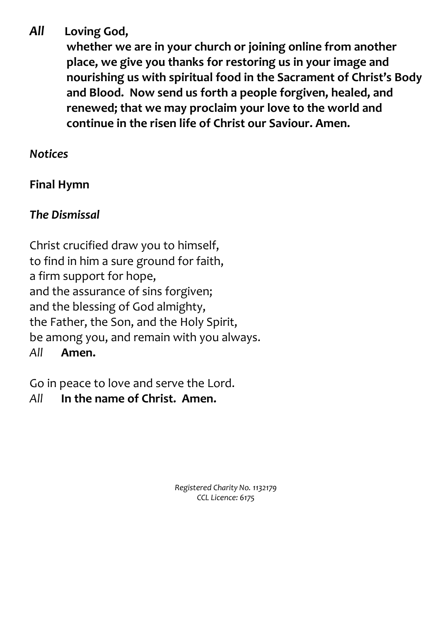#### *All* **Loving God,**

**whether we are in your church or joining online from another place, we give you thanks for restoring us in your image and nourishing us with spiritual food in the Sacrament of Christ's Body and Blood. Now send us forth a people forgiven, healed, and renewed; that we may proclaim your love to the world and continue in the risen life of Christ our Saviour. Amen.**

#### *Notices*

# **Final Hymn**

# *The Dismissal*

Christ crucified draw you to himself, to find in him a sure ground for faith, a firm support for hope, and the assurance of sins forgiven; and the blessing of God almighty, the Father, the Son, and the Holy Spirit, be among you, and remain with you always. *All* **Amen.**

Go in peace to love and serve the Lord.

# *All* **In the name of Christ. Amen.**

*Registered Charity No. 1132179 CCL Licence: 6175*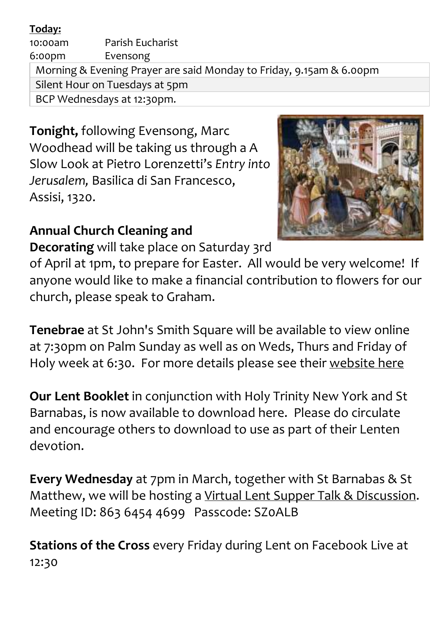#### **Today:**

10:00am Parish Eucharist 6:00pm Evensong Morning & Evening Prayer are said Monday to Friday, 9.15am & 6.00pm Silent Hour on Tuesdays at 5pm BCP Wednesdays at 12:30pm.

**Tonight,** following Evensong, Marc Woodhead will be taking us through a A Slow Look at Pietro Lorenzetti's *Entry into Jerusalem,* Basilica di San Francesco, Assisi, 1320.



# **Annual Church Cleaning and**

**Decorating** will take place on Saturday 3rd

of April at 1pm, to prepare for Easter. All would be very welcome! If anyone would like to make a financial contribution to flowers for our church, please speak to Graham.

**Tenebrae** at St John's Smith Square will be available to view online at 7:30pm on Palm Sunday as well as on Weds, Thurs and Friday of Holy week at 6:30. For more details please see their [website](https://sjss.org.uk/online-performances?when=all&field_date_value_1%5Bmin%5D%5Bdate%5D=&field_date_value_1%5Bmax%5D%5Bdate%5D=&field_tag_tid=139&combine=) here

**Our Lent Booklet** in conjunction with Holy Trinity New York and St Barnabas, is now available to download here. Please do circulate and encourage others to download to use as part of their Lenten devotion.

**Every Wednesday** at 7pm in March, together with St Barnabas & St Matthew, we will be hosting a Virtual Lent Supper Talk & [Discussion.](https://us02web.zoom.us/j/86364544699?pwd=bmUvY0tUcEduVmhpdTB1Ym9ZY0xSZz09) Meeting ID: 863 6454 4699 Passcode: SZ0ALB

**Stations of the Cross** every Friday during Lent on Facebook Live at 12:30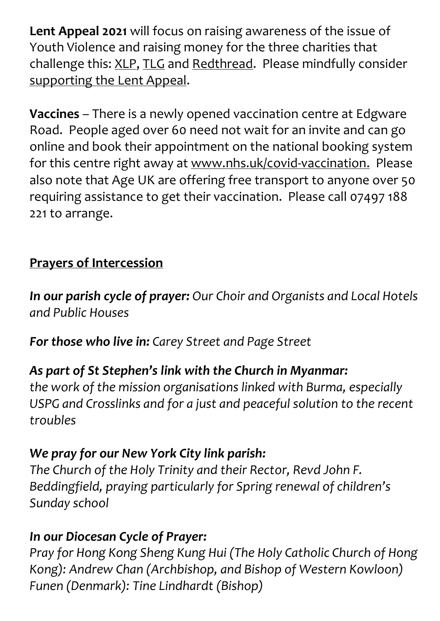**Lent Appeal 2021** will focus on raising awareness of the issue of Youth Violence and raising money for the three charities that challenge this: [XLP,](https://www.xlp.org.uk/) [TLG](https://www.tlg.org.uk/) and [Redthread.](https://www.redthread.org.uk/) Please mindfully consider [supporting](https://www.give.net/LentAppeal2021) the Lent Appeal.

**Vaccines** – There is a newly opened vaccination centre at Edgware Road. People aged over 60 need not wait for an invite and can go online and book their appointment on the national booking system for this centre right away at [www.nhs.uk/covid-vaccination.](http://www.nhs.uk/covid-vaccination) Please also note that Age UK are offering free transport to anyone over 50 requiring assistance to get their vaccination. Please call 07497 188 221 to arrange.

# **Prayers of Intercession**

*In our parish cycle of prayer: Our Choir and Organists and Local Hotels and Public Houses*

*For those who live in: Carey Street and Page Street*

# *As part of St Stephen's link with the Church in Myanmar:*

*the work of the mission organisations linked with Burma, especially USPG and Crosslinks and for a just and peaceful solution to the recent troubles*

# *We pray for our New York City link parish:*

*The Church of the Holy Trinity and their Rector, Revd John F. Beddingfield, praying particularly for Spring renewal of children's Sunday school*

# *In our Diocesan Cycle of Prayer:*

*Pray for Hong Kong Sheng Kung Hui (The Holy Catholic Church of Hong Kong): Andrew Chan (Archbishop, and Bishop of Western Kowloon) Funen (Denmark): Tine Lindhardt (Bishop)*